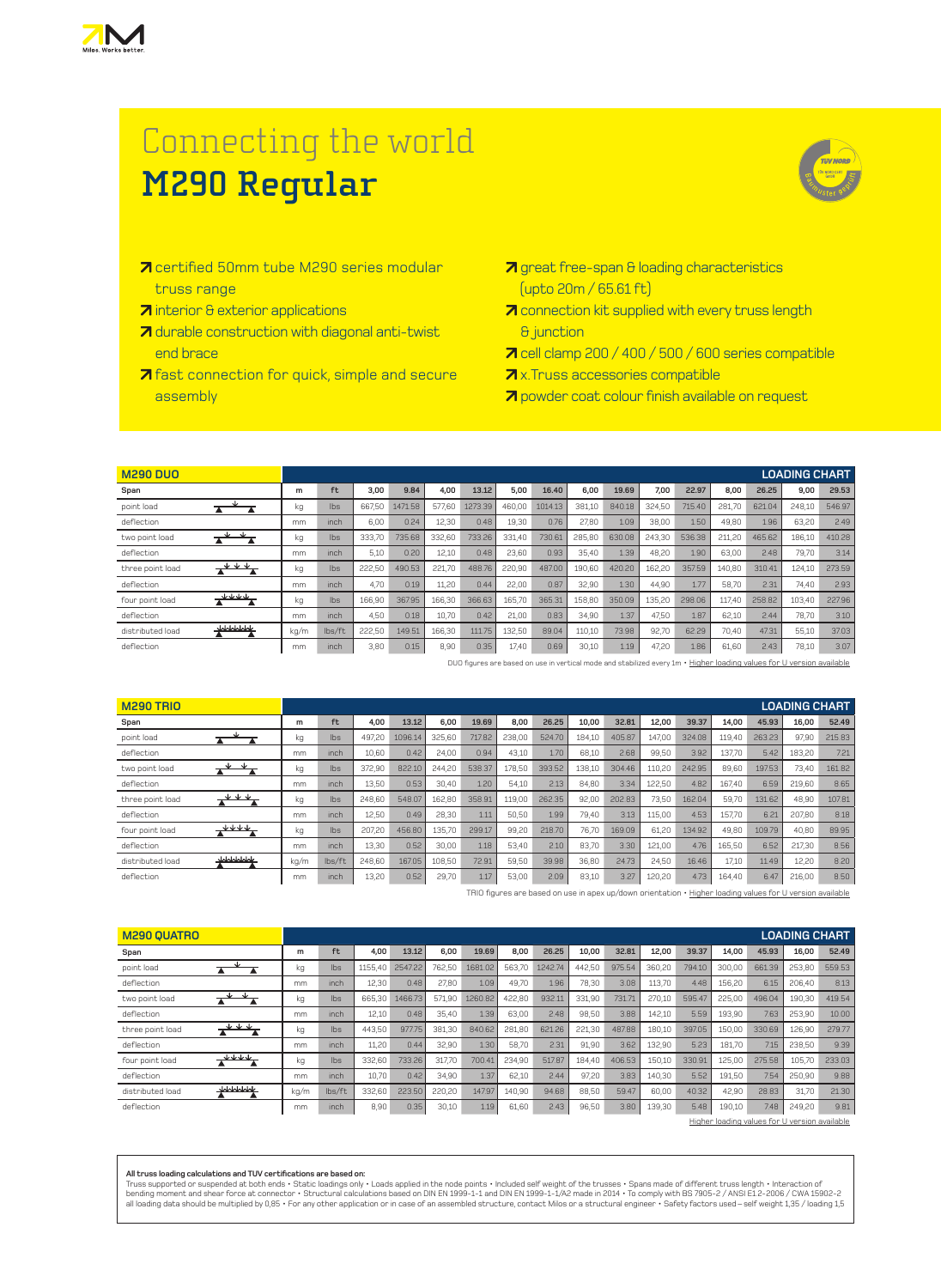

## Connecting the world **M290 Regular**



- **7** certified 50mm tube M290 series modular truss range
- **7** interior & exterior applications
- **7** durable construction with diagonal anti-twist end brace
- **7** fast connection for quick, simple and secure assembly
- **7** connection kit supplied with every truss length & junction
- 7 cell clamp 200 / 400 / 500 / 600 series compatible
- **7** x. Truss accessories compatible
- **7** powder coat colour finish available on request

| <b>M290 DUO</b>         |      |        |        |         |        |         |        |         |        |        |        |        |        |        | <b>LOADING CHART</b> |        |
|-------------------------|------|--------|--------|---------|--------|---------|--------|---------|--------|--------|--------|--------|--------|--------|----------------------|--------|
| Span                    | m    | ft     | 3,00   | 9.84    | 4.00   | 13.12   | 5.00   | 16.40   | 6.00   | 19.69  | 7.00   | 22.97  | 8,00   | 26.25  | 9,00                 | 29.53  |
| point load<br>▲         | kg   | lbs    | 667.50 | 1471.58 | 577.60 | 1273.39 | 460,00 | 1014.13 | 381,10 | 840.18 | 324,50 | 715.40 | 281,70 | 621.04 | 248,10               | 546.97 |
| deflection              | mm   | inch   | 6,00   | 0.24    | 12,30  | 0.48    | 19,30  | 0.76    | 27,80  | 1.09   | 38,00  | 1.50   | 49,80  | 1.96   | 63,20                | 2.49   |
| two point load          | kg   | Ibs    | 333.70 | 735.68  | 332,60 | 733.26  | 331.40 | 730.61  | 285,80 | 630.08 | 243.30 | 536.38 | 211,20 | 465.62 | 186,10               | 410.28 |
| deflection              | mm   | inch   | 5,10   | 0.20    | 12,10  | 0.48    | 23,60  | 0.93    | 35,40  | 1.39   | 48.20  | 1.90   | 63,00  | 2.48   | 79,70                | 3.14   |
| three point load        | kg   | Ibs    | 222,50 | 490.53  | 221.70 | 488.76  | 220.90 | 487.00  | 190.60 | 420.20 | 162.20 | 357.59 | 140,80 | 310.41 | 124,10               | 273.59 |
| deflection              | mm   | inch   | 4,70   | 0.19    | 11,20  | 0.44    | 22,00  | 0.87    | 32,90  | 1.30   | 44,90  | 1.77   | 58,70  | 2.31   | 74,40                | 2.93   |
| four point load         | kg   | Ibs    | 166,90 | 367.95  | 166.30 | 366.63  | 165,70 | 365.31  | 158,80 | 350.09 | 135,20 | 298.06 | 117.40 | 258.82 | 103,40               | 227.96 |
| deflection              | mm   | inch   | 4,50   | 0.18    | 10.70  | 0.42    | 21,00  | 0.83    | 34,90  | 1.37   | 47,50  | 1.87   | 62,10  | 2.44   | 78,70                | 3.10   |
| $+$<br>distributed load | kg/m | lbs/ft | 222,50 | 149.51  | 166.30 | 111.75  | 132,50 | 89.04   | 110,10 | 73.98  | 92,70  | 62.29  | 70,40  | 47.31  | 55,10                | 37.03  |
| deflection              | mm   | inch   | 3,80   | 0.15    | 8,90   | 0.35    | 17.40  | 0.69    | 30,10  | 1.19   | 47,20  | 1.86   | 61,60  | 2.43   | 78,10                | 3.07   |

DUO figures are based on use in vertical mode and stabilized every 1m • Higher loading values for U version available

| <b>M290 TRIO</b>               |      |        |        |         |        |        |        |        |        |        |        |        |        |        | <b>LOADING CHART</b> |        |
|--------------------------------|------|--------|--------|---------|--------|--------|--------|--------|--------|--------|--------|--------|--------|--------|----------------------|--------|
| Span                           | m    | ft     | 4.00   | 13.12   | 6.00   | 19.69  | 8.00   | 26.25  | 10.00  | 32.81  | 12.00  | 39.37  | 14,00  | 45.93  | 16,00                | 52.49  |
| point load                     | kg   | Ibs    | 497.20 | 1096.14 | 325.60 | 717.82 | 238.00 | 524.70 | 184,10 | 405.87 | 147.00 | 324.08 | 119.40 | 263.23 | 97,90                | 215.83 |
| deflection                     | mm   | inch   | 10.60  | 0.42    | 24.00  | 0.94   | 43,10  | 1.70   | 68,10  | 2.68   | 99.50  | 3.92   | 137.70 | 5.42   | 183,20               | 7.21   |
| two point load                 | kg   | lbs    | 372,90 | 822.10  | 244,20 | 538.37 | 178,50 | 393.52 | 138,10 | 304.46 | 110.20 | 242.95 | 89.60  | 197.53 | 73,40                | 161.82 |
| deflection                     | mm   | inch   | 13,50  | 0.53    | 30.40  | 1.20   | 54,10  | 2.13   | 84,80  | 3.34   | 122,50 | 4.82   | 167.40 | 6.59   | 219,60               | 8.65   |
| $+ + +$<br>three point load    | kg   | lbs    | 248,60 | 548.07  | 162,80 | 358.91 | 119,00 | 262.35 | 92,00  | 202.83 | 73,50  | 162.04 | 59,70  | 131.62 | 48,90                | 107.81 |
| deflection                     | mm   | inch   | 12.50  | 0.49    | 28.30  | 1.11   | 50,50  | 1.99   | 79,40  | 3.13   | 115.00 | 4.53   | 157.70 | 6.21   | 207.80               | 8.18   |
| <b>JJJJ</b><br>four point load | kg   | lbs    | 207,20 | 456.80  | 135.70 | 299.17 | 99,20  | 218.70 | 76.70  | 169.09 | 61.20  | 134.92 | 49.80  | 109.79 | 40.80                | 89.95  |
| deflection                     | mm   | inch   | 13.30  | 0.52    | 30.00  | 1.18   | 53.40  | 2.10   | 83,70  | 3.30   | 121.00 | 4.76   | 165,50 | 6.52   | 217,30               | 8.56   |
| wwww<br>distributed load       | kg/m | lbs/ft | 248.60 | 167.05  | 108,50 | 72.91  | 59,50  | 39.98  | 36,80  | 24.73  | 24.50  | 16.46  | 17.10  | 11.49  | 12,20                | 8.20   |
| deflection                     | mm   | inch   | 13,20  | 0.52    | 29.70  | 1.17   | 53,00  | 2.09   | 83,10  | 3.27   | 120,20 | 4.73   | 164.40 | 6.47   | 216,00               | 8.50   |

TRIO figures are based on use in apex up/down orientation • Higher loading values for U version available

| <b>M290 QUATRO</b>          |      |        |         |         |        |         |        |         |        |        |        |        |        |        | <b>LOADING CHART</b> |        |
|-----------------------------|------|--------|---------|---------|--------|---------|--------|---------|--------|--------|--------|--------|--------|--------|----------------------|--------|
| Span                        | m    | ft     | 4.00    | 13.12   | 6.00   | 19.69   | 8.00   | 26.25   | 10.00  | 32.81  | 12.00  | 39.37  | 14,00  | 45.93  | 16,00                | 52.49  |
| point load                  | kg   | lbs    | 1155,40 | 2547.22 | 762,50 | 1681.02 | 563.70 | 1242.74 | 442,50 | 975.54 | 360,20 | 794.10 | 300,00 | 661.39 | 253,80               | 559.53 |
| deflection                  | mm   | inch   | 12,30   | 0.48    | 27.80  | 1.09    | 49.70  | 1.96    | 78.30  | 3.08   | 113.70 | 4.48   | 156,20 | 6.15   | 206.40               | 8.13   |
| ◡<br>two point load         | kg   | Ibs    | 665.30  | 1466.73 | 571,90 | 1260.82 | 422,80 | 932.11  | 331.90 | 731.71 | 270,10 | 595.47 | 225.00 | 496.04 | 190,30               | 419.54 |
| deflection                  | mm   | inch   | 12,10   | 0.48    | 35.40  | 1.39    | 63,00  | 2.48    | 98,50  | 3.88   | 142.10 | 5.59   | 193,90 | 7.63   | 253,90               | 10.00  |
| $+ + +$<br>three point load | kg   | Ibs    | 443,50  | 977.75  | 381,30 | 840.62  | 281.80 | 621.26  | 221,30 | 487.88 | 180,10 | 397.05 | 150,00 | 330.69 | 126,90               | 279.77 |
| deflection                  | mm   | inch   | 11.20   | 0.44    | 32.90  | 1.30    | 58,70  | 2.31    | 91,90  | 3.62   | 132.90 | 5.23   | 181.70 | 7.15   | 238,50               | 9.39   |
| four point load             | kg   | Ibs    | 332,60  | 733.26  | 317.70 | 700.41  | 234.90 | 517.87  | 184.40 | 406.53 | 150.10 | 330.91 | 125.00 | 275.58 | 105.70               | 233.03 |
| deflection                  | mm   | inch   | 10.70   | 0.42    | 34,90  | 1.37    | 62,10  | 2.44    | 97,20  | 3.83   | 140,30 | 5.52   | 191,50 | 7.54   | 250,90               | 9.88   |
| wwww<br>distributed load    | kg/m | lbs/ft | 332,60  | 223.50  | 220.20 | 147.97  | 140.90 | 94.68   | 88,50  | 59.47  | 60.00  | 40.32  | 42,90  | 28.83  | 31.70                | 21.30  |
| deflection                  | mm   | inch   | 8,90    | 0.35    | 30,10  | 1.19    | 61.60  | 2.43    | 96,50  | 3.8C   | 139.30 | 5.48   | 190,10 | 7.48   | 249,20               | 9.81   |

Higher loading values for U version available

## **All truss loading calculations and TUV certifications are based on:**

Truss supported or suspended at both ends • Static loadings only • Loads applied in the node points • Included self weight of the trusses • Spans made of different truss length • Interaction of<br>bending moment and shear for

**<sup>7</sup>** great free-span & loading characteristics (upto 20m / 65.61 ft)